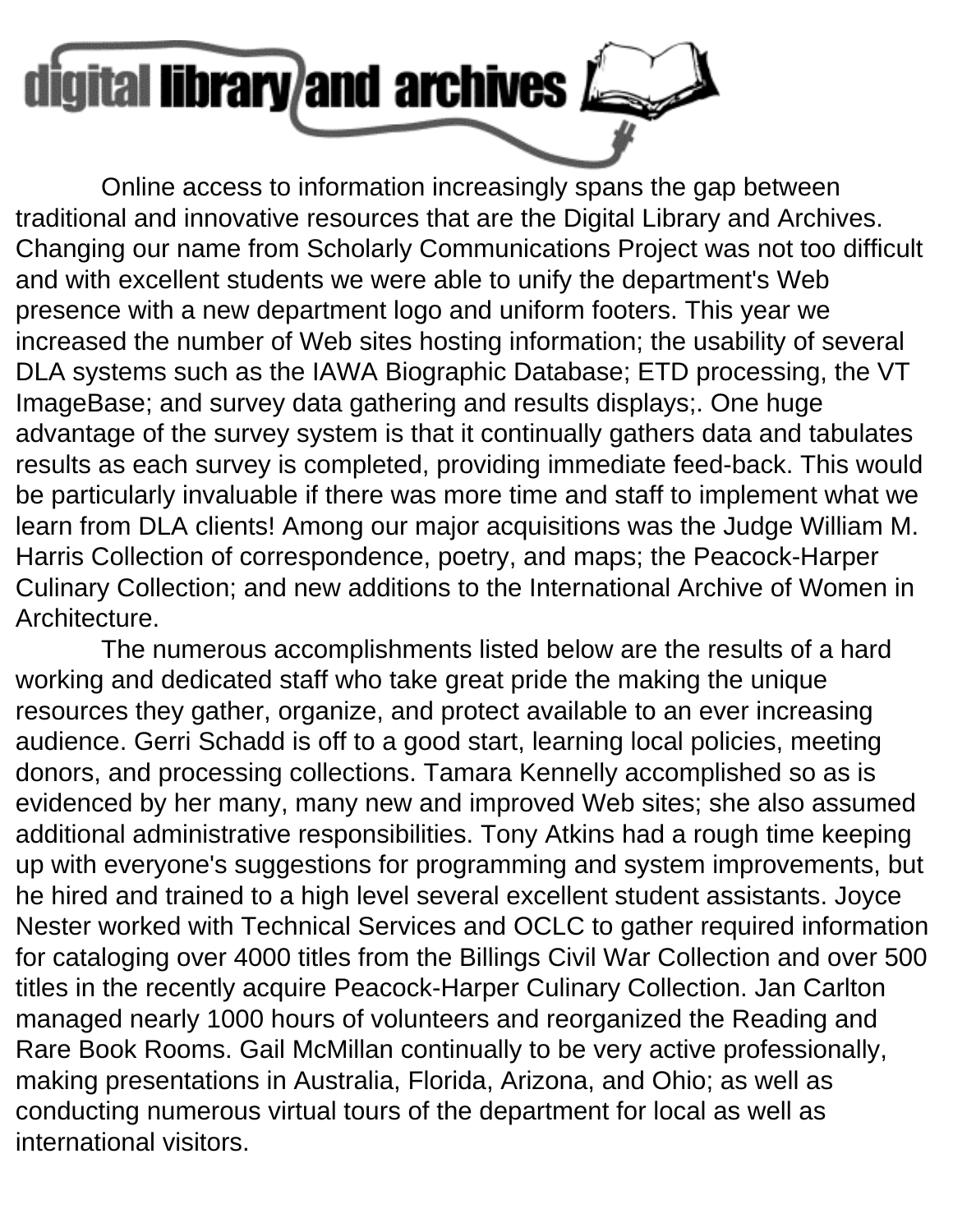

 Online access to information increasingly spans the gap between traditional and innovative resources that are the Digital Library and Archives. Changing our name from Scholarly Communications Project was not too difficult and with excellent students we were able to unify the department's Web presence with a new department logo and uniform footers. This year we increased the number of Web sites hosting information; the usability of several DLA systems such as the IAWA Biographic Database; ETD processing, the VT ImageBase; and survey data gathering and results displays;. One huge advantage of the survey system is that it continually gathers data and tabulates results as each survey is completed, providing immediate feed-back. This would be particularly invaluable if there was more time and staff to implement what we learn from DLA clients! Among our major acquisitions was the Judge William M. Harris Collection of correspondence, poetry, and maps; the Peacock-Harper Culinary Collection; and new additions to the International Archive of Women in Architecture.

 The numerous accomplishments listed below are the results of a hard working and dedicated staff who take great pride the making the unique resources they gather, organize, and protect available to an ever increasing audience. Gerri Schadd is off to a good start, learning local policies, meeting donors, and processing collections. Tamara Kennelly accomplished so as is evidenced by her many, many new and improved Web sites; she also assumed additional administrative responsibilities. Tony Atkins had a rough time keeping up with everyone's suggestions for programming and system improvements, but he hired and trained to a high level several excellent student assistants. Joyce Nester worked with Technical Services and OCLC to gather required information for cataloging over 4000 titles from the Billings Civil War Collection and over 500 titles in the recently acquire Peacock-Harper Culinary Collection. Jan Carlton managed nearly 1000 hours of volunteers and reorganized the Reading and Rare Book Rooms. Gail McMillan continually to be very active professionally, making presentations in Australia, Florida, Arizona, and Ohio; as well as conducting numerous virtual tours of the department for local as well as international visitors.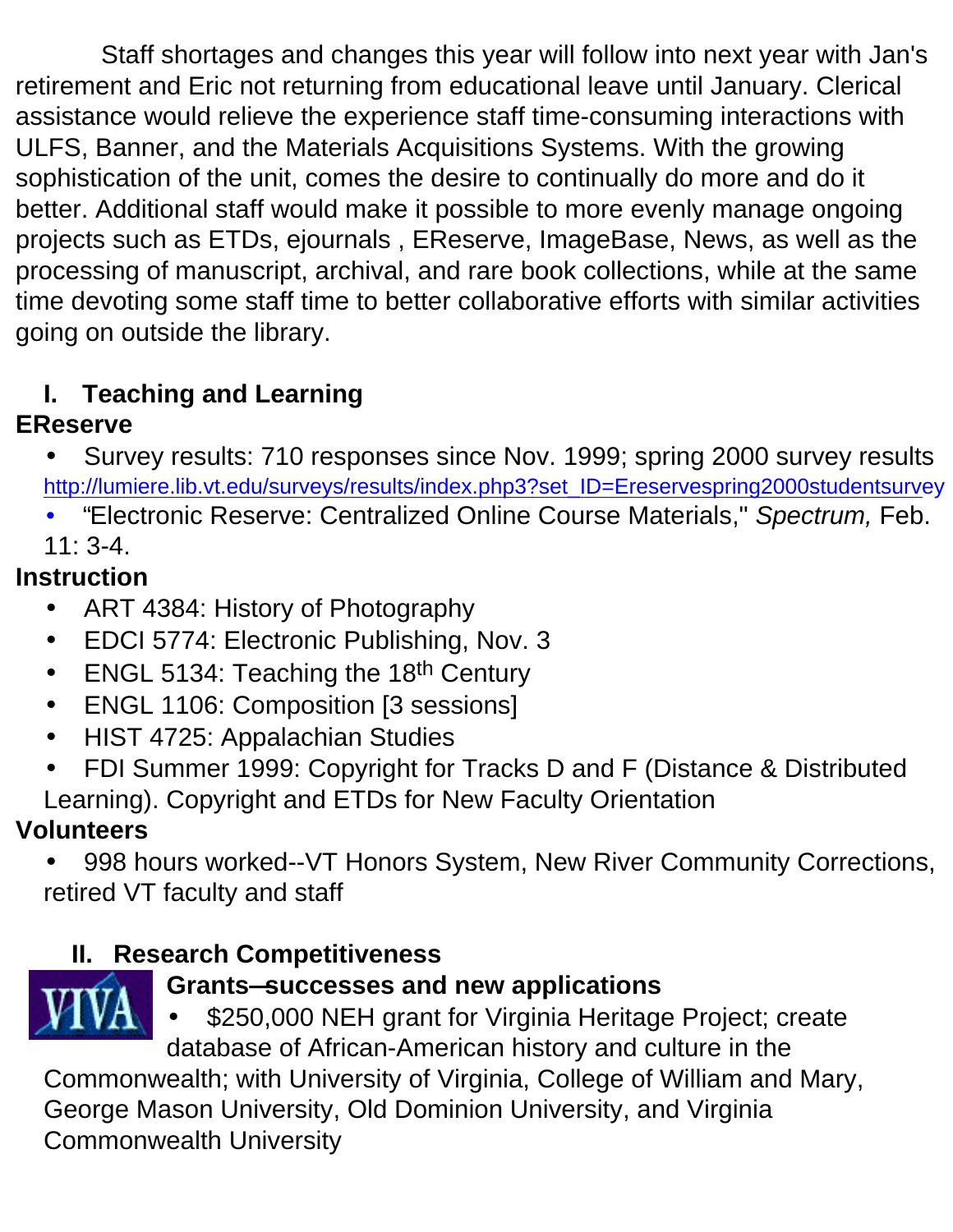Staff shortages and changes this year will follow into next year with Jan's retirement and Eric not returning from educational leave until January. Clerical assistance would relieve the experience staff time-consuming interactions with ULFS, Banner, and the Materials Acquisitions Systems. With the growing sophistication of the unit, comes the desire to continually do more and do it better. Additional staff would make it possible to more evenly manage ongoing projects such as ETDs, ejournals , EReserve, ImageBase, News, as well as the processing of manuscript, archival, and rare book collections, while at the same time devoting some staff time to better collaborative efforts with similar activities going on outside the library.

# **I. Teaching and Learning**

## **EReserve**

- Survey results: 710 responses since Nov. 1999; spring 2000 survey results [http://lumiere.lib.vt.edu/surveys/results/index.php3?set\\_ID=Ereservespring2000studentsurve](http://lumiere.lib.vt.edu/surveys/results/index.php3?set_ID=Ereservespring2000studentsurvey)y
- "Electronic Reserve: Centralized Online Course Materials," *Spectrum,* Feb. 11: 3-4.

## **Instruction**

- ART 4384: History of Photography
- EDCI 5774: Electronic Publishing, Nov. 3
- ENGL 5134: Teaching the 18<sup>th</sup> Century
- ENGL 1106: Composition [3 sessions]
- HIST 4725: Appalachian Studies
- FDI Summer 1999: Copyright for Tracks D and F (Distance & Distributed Learning). Copyright and ETDs for New Faculty Orientation

## **Volunteers**

• 998 hours worked--VT Honors System, New River Community Corrections, retired VT faculty and staff

## **II. Research Competitiveness**



## **Grants—successes and new applications**

• \$250,000 NEH grant for Virginia Heritage Project; create database of African-American history and culture in the Commonwealth; with University of Virginia, College of William and Mary, George Mason University, Old Dominion University, and Virginia

Commonwealth University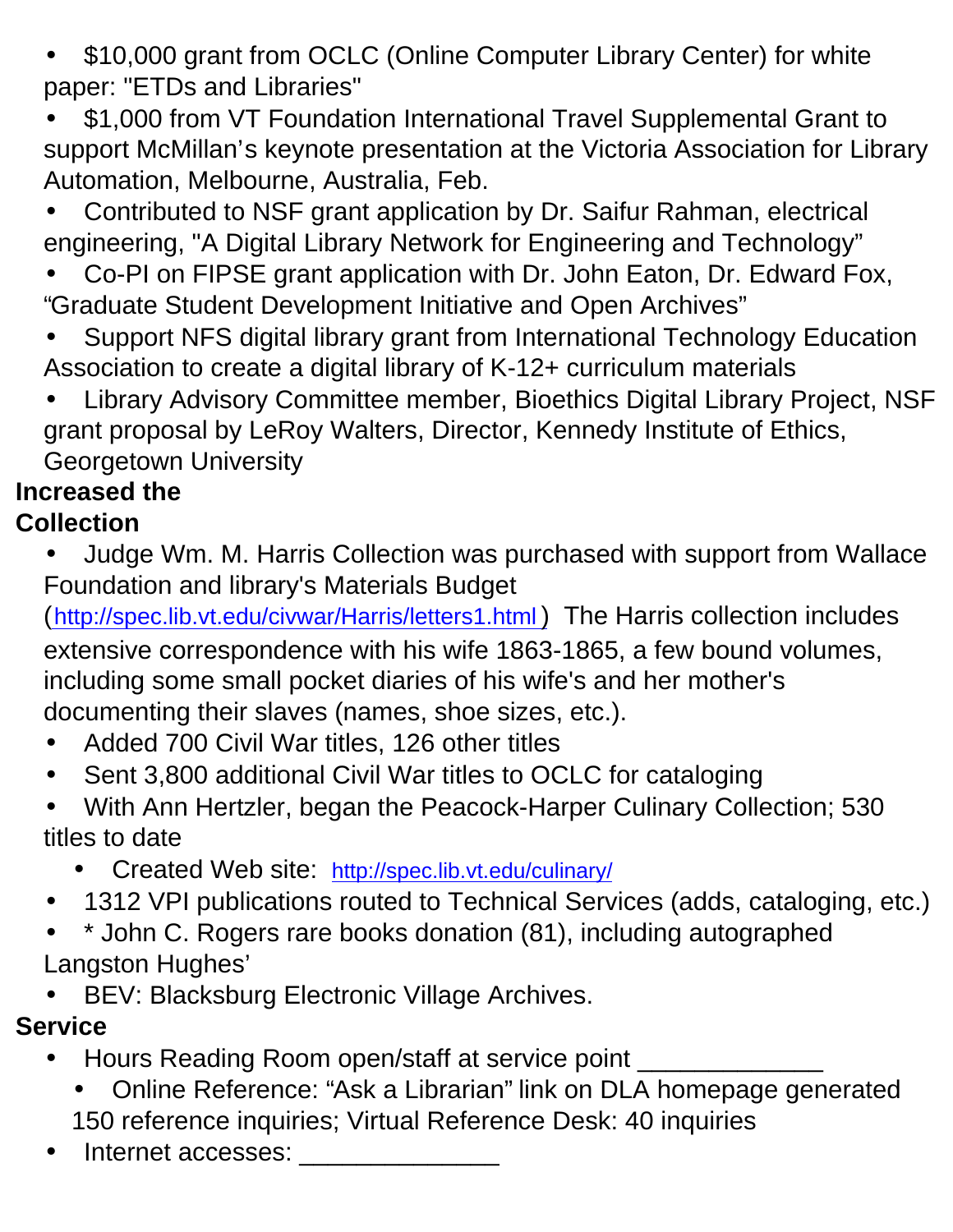- \$10,000 grant from OCLC (Online Computer Library Center) for white paper: "ETDs and Libraries"
- \$1,000 from VT Foundation International Travel Supplemental Grant to support McMillan's keynote presentation at the Victoria Association for Library Automation, Melbourne, Australia, Feb.
- Contributed to NSF grant application by Dr. Saifur Rahman, electrical engineering, "A Digital Library Network for Engineering and Technology"
- Co-PI on FIPSE grant application with Dr. John Eaton, Dr. Edward Fox, "Graduate Student Development Initiative and Open Archives"
- Support NFS digital library grant from International Technology Education Association to create a digital library of K-12+ curriculum materials
- Library Advisory Committee member, Bioethics Digital Library Project, NSF grant proposal by LeRoy Walters, Director, Kennedy Institute of Ethics, Georgetown University

# **Increased the**

## **Collection**

- Judge Wm. M. Harris Collection was purchased with support from Wallace Foundation and library's Materials Budget
- (http://spec.lib.vt.edu/civwar/Harris/letters1.html) The Harris collection includes extensive correspondence with his wife 1863-1865, a few bound volumes, including some small pocket diaries of his wife's and her mother's documenting their slaves (names, shoe sizes, etc.).
- Added 700 Civil War titles, 126 other titles
- Sent 3,800 additional Civil War titles to OCLC for cataloging
- With Ann Hertzler, began the Peacock-Harper Culinary Collection; 530 titles to date
	- Created Web site: <http://spec.lib.vt.edu/culinary/>
- 1312 VPI publications routed to Technical Services (adds, cataloging, etc.)
- \* John C. Rogers rare books donation (81), including autographed Langston Hughes'
- BEV: Blacksburg Electronic Village Archives.

## **Service**

- Hours Reading Room open/staff at service point \_\_\_\_\_\_\_\_\_\_\_\_\_\_\_\_\_\_\_\_\_\_\_\_\_\_\_\_\_\_\_
	- Online Reference: "Ask a Librarian" link on DLA homepage generated 150 reference inquiries; Virtual Reference Desk: 40 inquiries
- Internet accesses: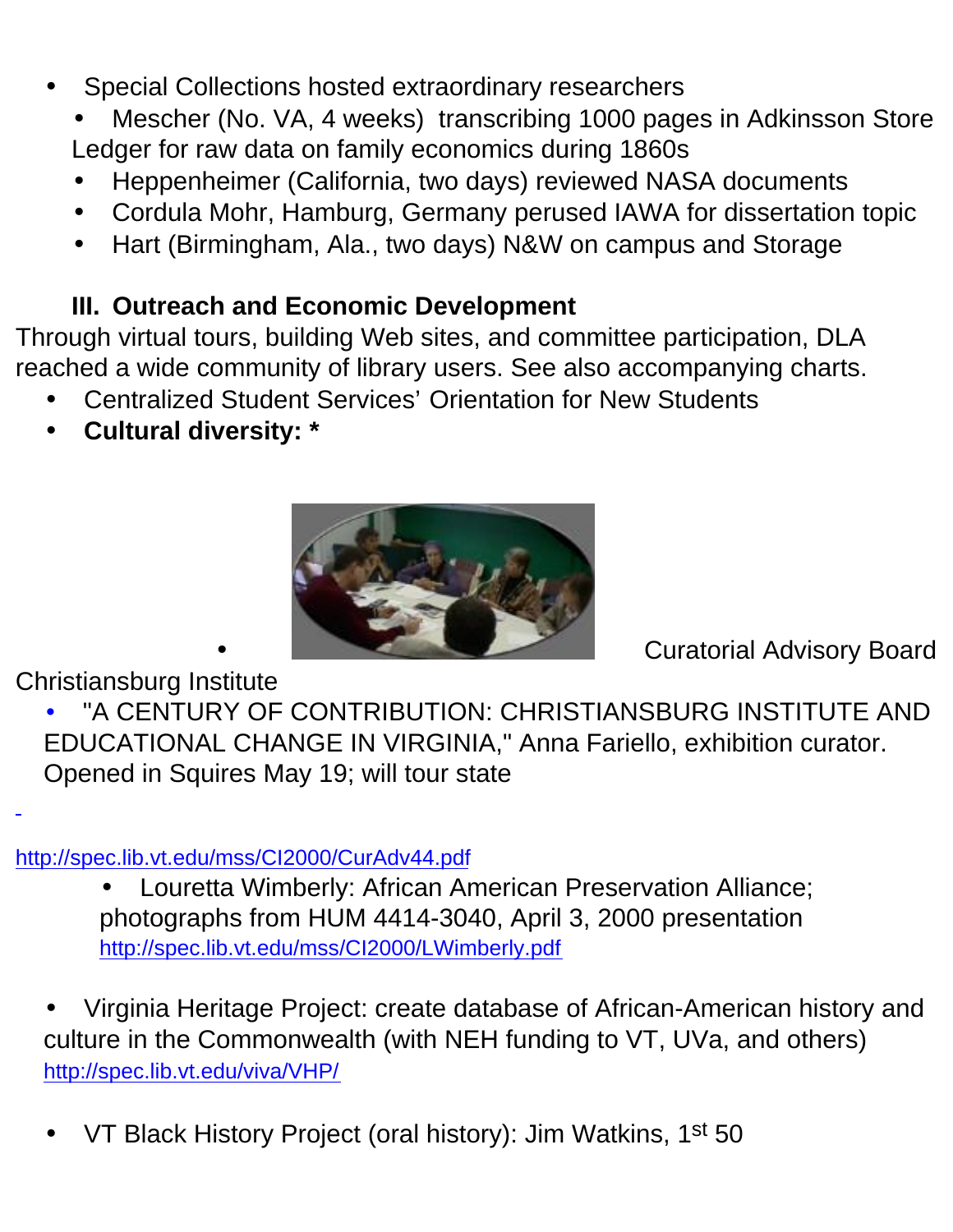- Special Collections hosted extraordinary researchers
	- Mescher (No. VA, 4 weeks) transcribing 1000 pages in Adkinsson Store Ledger for raw data on family economics during 1860s
	- Heppenheimer (California, two days) reviewed NASA documents
	- Cordula Mohr, Hamburg, Germany perused IAWA for dissertation topic
	- Hart (Birmingham, Ala., two days) N&W on campus and Storage

#### **III. Outreach and Economic Development**

Through virtual tours, building Web sites, and committee participation, DLA reached a wide community of library users. See also accompanying charts.

- Centralized Student Services' Orientation for New Students
- **Cultural diversity: \***



Christiansburg Institute

• Curatorial Advisory Board

• "A CENTURY OF CONTRIBUTION: CHRISTIANSBURG INSTITUTE AND EDUCATIONAL CHANGE IN VIRGINIA," Anna Fariello, exhibition curator. Opened in Squires May 19; will tour state

<http://spec.lib.vt.edu/mss/CI2000/CurAdv44.pdf>

• Louretta Wimberly: African American Preservation Alliance; photographs from HUM 4414-3040, April 3, 2000 presentation <http://spec.lib.vt.edu/mss/CI2000/LWimberly.pdf>

• Virginia Heritage Project: create database of African-American history and culture in the Commonwealth (with NEH funding to VT, UVa, and others) <http://spec.lib.vt.edu/viva/VHP/>

VT Black History Project (oral history): Jim Watkins, 1<sup>st</sup> 50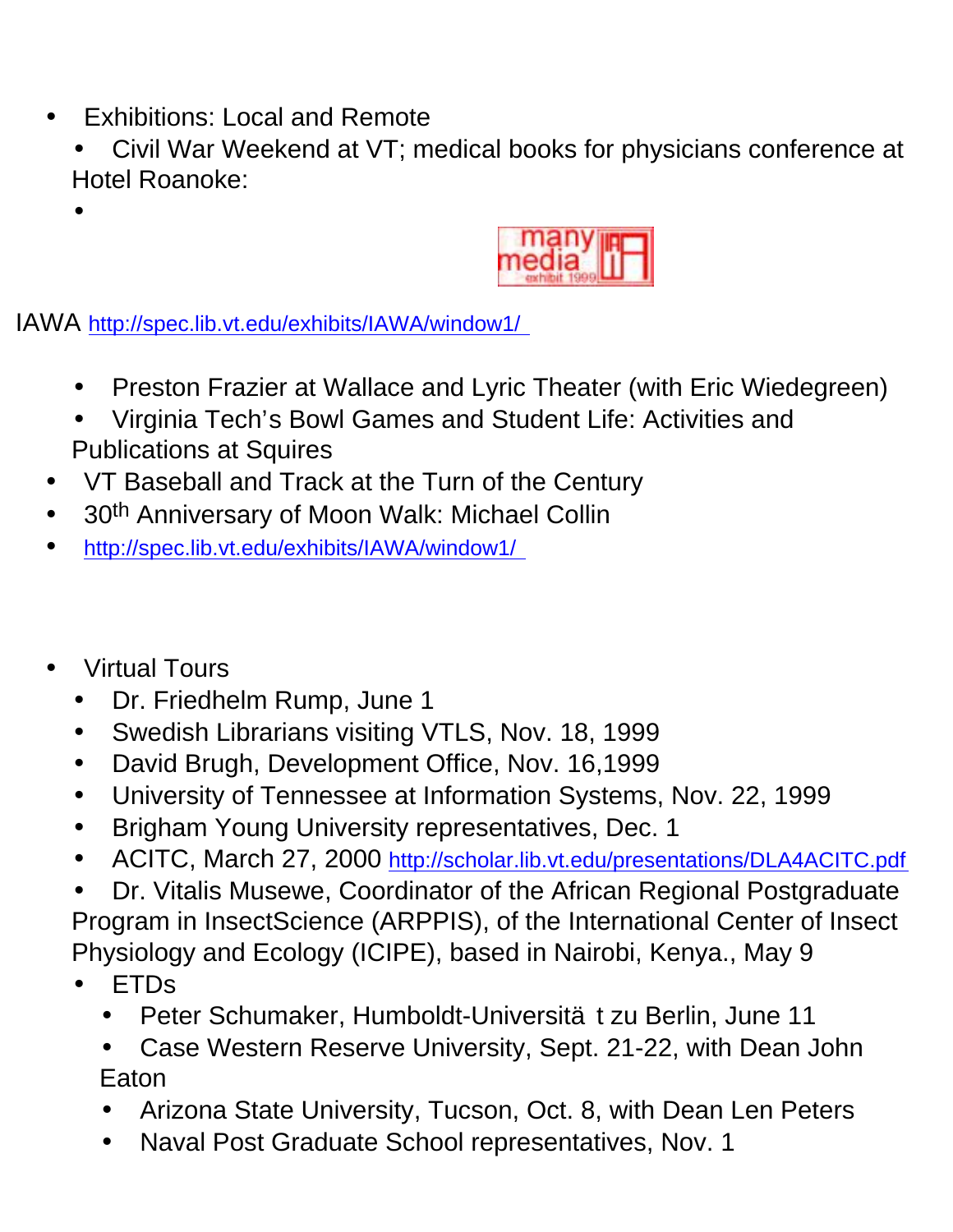- Exhibitions: Local and Remote
	- Civil War Weekend at VT; medical books for physicians conference at Hotel Roanoke:

IAWA [http://spec.lib.vt.edu/exhibits/IAWA/window1/](http://spec.lib.vt.edu/)

- Preston Frazier at Wallace and Lyric Theater (with Eric Wiedegreen)
- Virginia Tech's Bowl Games and Student Life: Activities and Publications at Squires
- VT Baseball and Track at the Turn of the Century
- 30th Anniversary of Moon Walk: Michael Collin
- [http://spec.lib.vt.edu/exhibits/IAWA/window1/](http://spec.lib.vt.edu/)
- Virtual Tours

•

- Dr. Friedhelm Rump, June 1
- Swedish Librarians visiting VTLS, Nov. 18, 1999
- David Brugh, Development Office, Nov. 16,1999
- University of Tennessee at Information Systems, Nov. 22, 1999
- Brigham Young University representatives, Dec. 1
- ACITC, March 27, 2000 <http://scholar.lib.vt.edu/presentations/DLA4ACITC.pdf>
- Dr. Vitalis Musewe, Coordinator of the African Regional Postgraduate Program in InsectScience (ARPPIS), of the International Center of Insect Physiology and Ecology (ICIPE), based in Nairobi, Kenya., May 9
- ETDs
	- Peter Schumaker, Humboldt-Universität zu Berlin, June 11
	- Case Western Reserve University, Sept. 21-22, with Dean John Eaton
	- Arizona State University, Tucson, Oct. 8, with Dean Len Peters
	- Naval Post Graduate School representatives, Nov. 1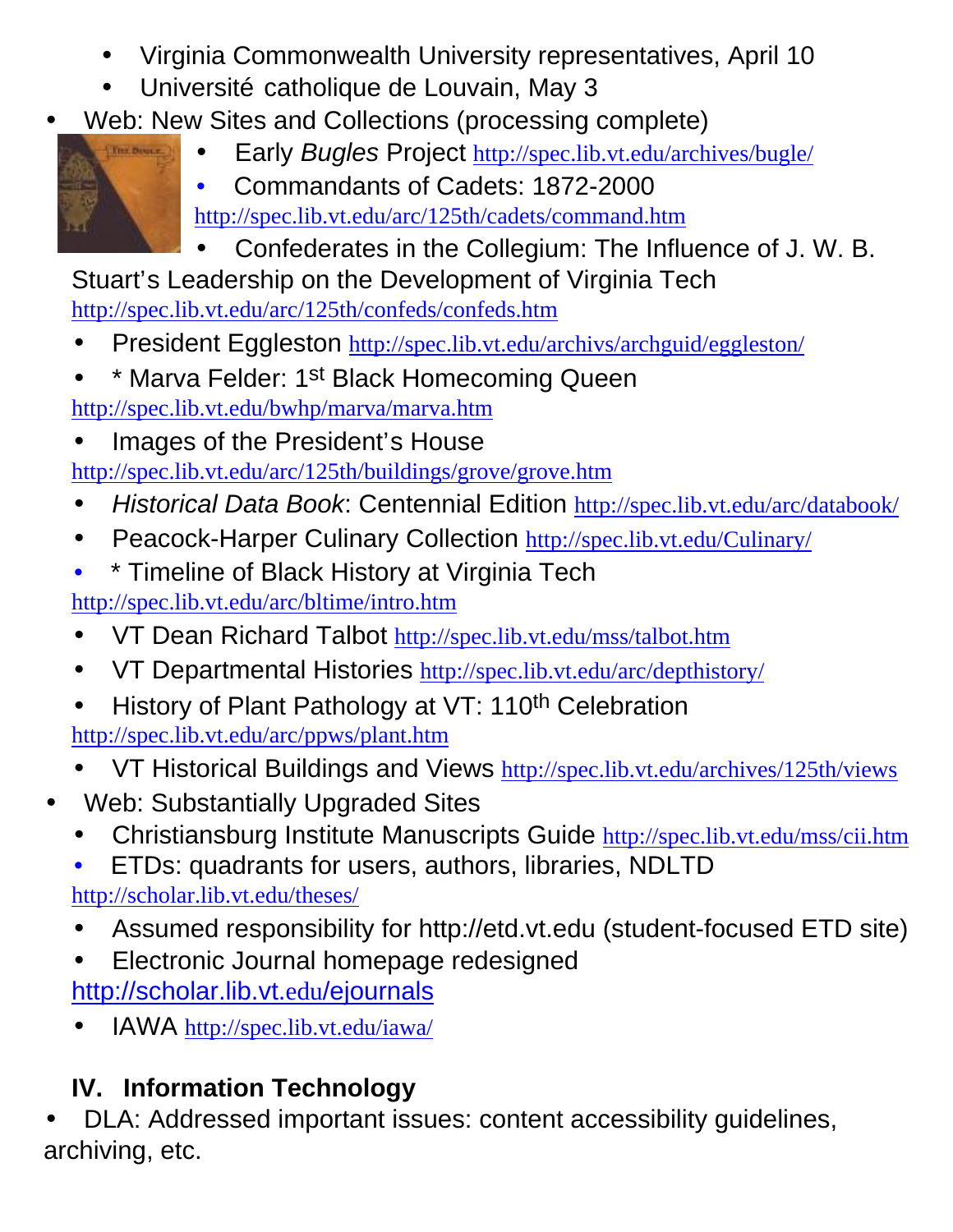- Virginia Commonwealth University representatives, April 10
- Université catholique de Louvain, May 3
- Web: New Sites and Collections (processing complete)
	- Early *Bugles* Project <http://spec.lib.vt.edu/archives/bugle/>



The Division

<http://spec.lib.vt.edu/arc/125th/cadets/command.htm> • Confederates in the Collegium: The Influence of J. W. B.

Stuart's Leadership on the Development of Virginia Tech <http://spec.lib.vt.edu/arc/125th/confeds/confeds.htm>

- President Eggleston <http://spec.lib.vt.edu/archivs/archguid/eggleston/>
- \* Marva Felder: 1st Black Homecoming Queen <http://spec.lib.vt.edu/bwhp/marva/marva.htm>
- Images of the President's House

<http://spec.lib.vt.edu/arc/125th/buildings/grove/grove.htm>

- *Historical Data Book*: Centennial Edition <http://spec.lib.vt.edu/arc/databook/>
- Peacock-Harper Culinary Collection <http://spec.lib.vt.edu/Culinary/>
- \* Timeline of Black History at Virginia Tech

<http://spec.lib.vt.edu/arc/bltime/intro.htm>

- VT Dean Richard Talbot <http://spec.lib.vt.edu/mss/talbot.htm>
- VT Departmental Histories <http://spec.lib.vt.edu/arc/depthistory/>
- History of Plant Pathology at VT: 110<sup>th</sup> Celebration <http://spec.lib.vt.edu/arc/ppws/plant.htm>
- VT Historical Buildings and Views <http://spec.lib.vt.edu/archives/125th/views>
- Web: Substantially Upgraded Sites
	- Christiansburg Institute Manuscripts Guide <http://spec.lib.vt.edu/mss/cii.htm>
	- ETDs: quadrants for users, authors, libraries, NDLTD

[http://scholar.lib.vt.edu/theses](http://scholar.lib.vt.edu/theses;)/

- Assumed responsibility for<http://etd.vt.edu>(student-focused ETD site)
- Electronic Journal homepage redesigned [http://scholar.lib.vt.](http://scholar.lib.vt.edu/ejournals)edu/ejournals
- IAWA <http://spec.lib.vt.edu/iawa/>

# **IV. Information Technology**

• DLA: Addressed important issues: content accessibility guidelines, archiving, etc.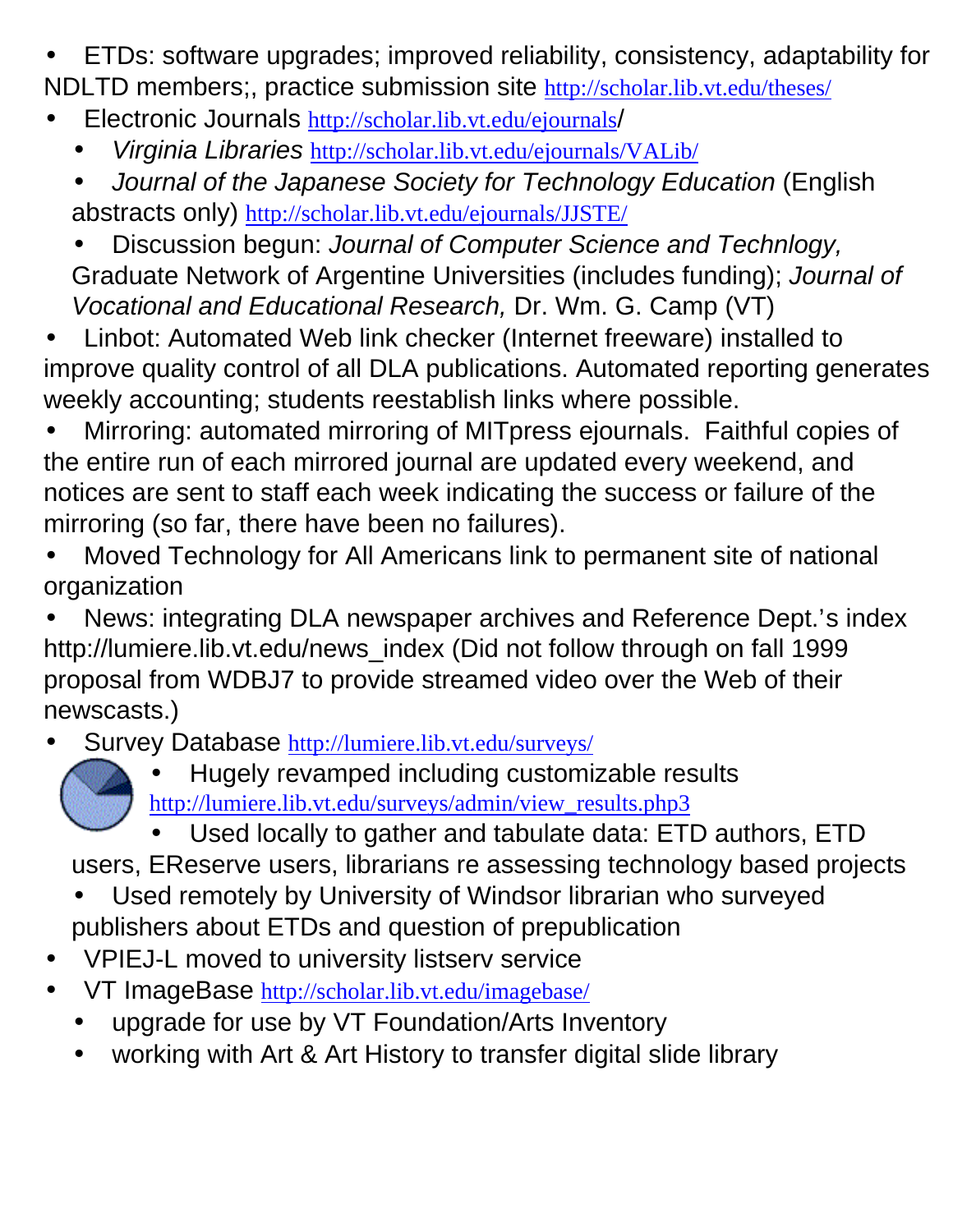- ETDs: software upgrades; improved reliability, consistency, adaptability for NDLTD members;, practice submission site <http://scholar.lib.vt.edu/theses/>
- Electronic Journals [http://scholar.lib.vt.edu/ejournals](http://scholar.lib.vt.edu/ejournals/)/
	- *Virginia Libraries* <http://scholar.lib.vt.edu/ejournals/VALib/>
	- *Journal of the Japanese Society for Technology Education* (English abstracts only) <http://scholar.lib.vt.edu/ejournals/JJSTE/>
	- Discussion begun: *Journal of Computer Science and Technlogy,* Graduate Network of Argentine Universities (includes funding); *Journal of Vocational and Educational Research,* Dr. Wm. G. Camp (VT)
- Linbot: Automated Web link checker (Internet freeware) installed to improve quality control of all DLA publications. Automated reporting generates weekly accounting; students reestablish links where possible.
- Mirroring: automated mirroring of MITpress ejournals. Faithful copies of the entire run of each mirrored journal are updated every weekend, and notices are sent to staff each week indicating the success or failure of the mirroring (so far, there have been no failures).
- Moved Technology for All Americans link to permanent site of national organization
- News: integrating DLA newspaper archives and Reference Dept.'s index [http://lumiere.lib.vt.edu/news\\_index](http://lumiere.lib.vt.edu/news_index) (Did not follow through on fall 1999 proposal from WDBJ7 to provide streamed video over the Web of their newscasts.)
- Survey Database <http://lumiere.lib.vt.edu/surveys/>
	-
- Hugely revamped including customizable results [http://lumiere.lib.vt.edu/surveys/admin/view\\_results.php3](http://lumiere.lib.vt.edu/surveys/admin/view_results.php3)

• Used locally to gather and tabulate data: ETD authors, ETD users, EReserve users, librarians re assessing technology based projects

- Used remotely by University of Windsor librarian who surveyed publishers about ETDs and question of prepublication
- VPIEJ-L moved to university listserv service
- VT ImageBase <http://scholar.lib.vt.edu/imagebase/>
	- upgrade for use by VT Foundation/Arts Inventory
	- working with Art & Art History to transfer digital slide library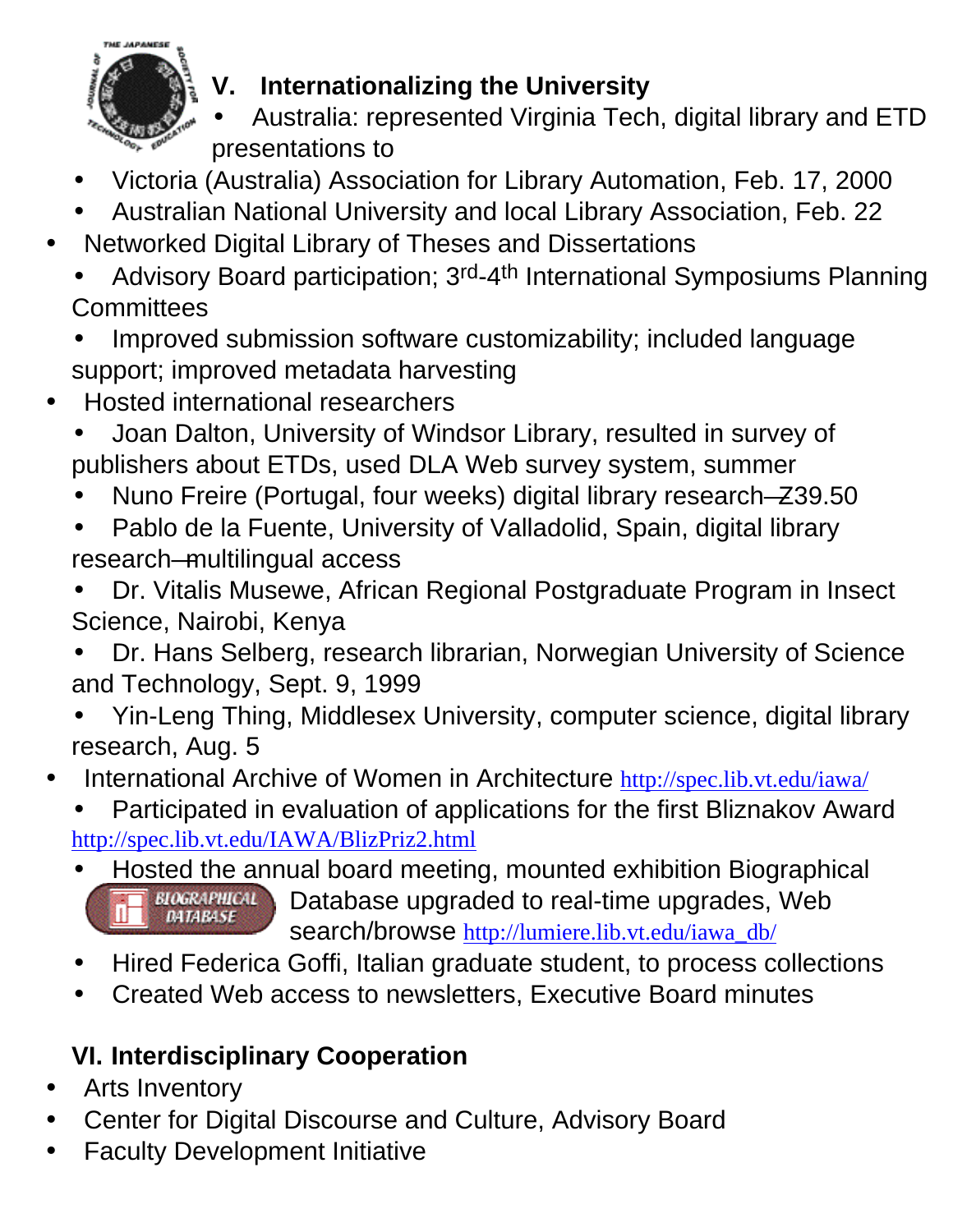

## **V. Internationalizing the University**

- Australia: represented Virginia Tech, digital library and ETD presentations to
- Victoria (Australia) Association for Library Automation, Feb. 17, 2000
- Australian National University and local Library Association, Feb. 22
- Networked Digital Library of Theses and Dissertations
	- Advisory Board participation; 3rd-4th International Symposiums Planning **Committees**
	- Improved submission software customizability; included language support; improved metadata harvesting
- Hosted international researchers
	- Joan Dalton, University of Windsor Library, resulted in survey of publishers about ETDs, used DLA Web survey system, summer
	- Nuno Freire (Portugal, four weeks) digital library research—Z39.50
	- Pablo de la Fuente, University of Valladolid, Spain, digital library research—multilingual access
	- Dr. Vitalis Musewe, African Regional Postgraduate Program in Insect Science, Nairobi, Kenya
	- Dr. Hans Selberg, research librarian, Norwegian University of Science and Technology, Sept. 9, 1999
	- Yin-Leng Thing, Middlesex University, computer science, digital library research, Aug. 5
- International Archive of Women in Architecture <http://spec.lib.vt.edu/iawa/>

• Participated in evaluation of applications for the first Bliznakov Award <http://spec.lib.vt.edu/IAWA/BlizPriz2.html>

- Hosted the annual board meeting, mounted exhibition Biographical **BIOGRAPHICAL** Database upgraded to real-time upgrades, Web **DATABASE** search/browse [http://lumiere.lib.vt.edu/iawa\\_db/](http://lumiere.lib.vt.edu/iawa_db/)
- Hired Federica Goffi, Italian graduate student, to process collections
- Created Web access to newsletters, Executive Board minutes

## **VI. Interdisciplinary Cooperation**

- **Arts Inventory**
- Center for Digital Discourse and Culture, Advisory Board
- **Faculty Development Initiative**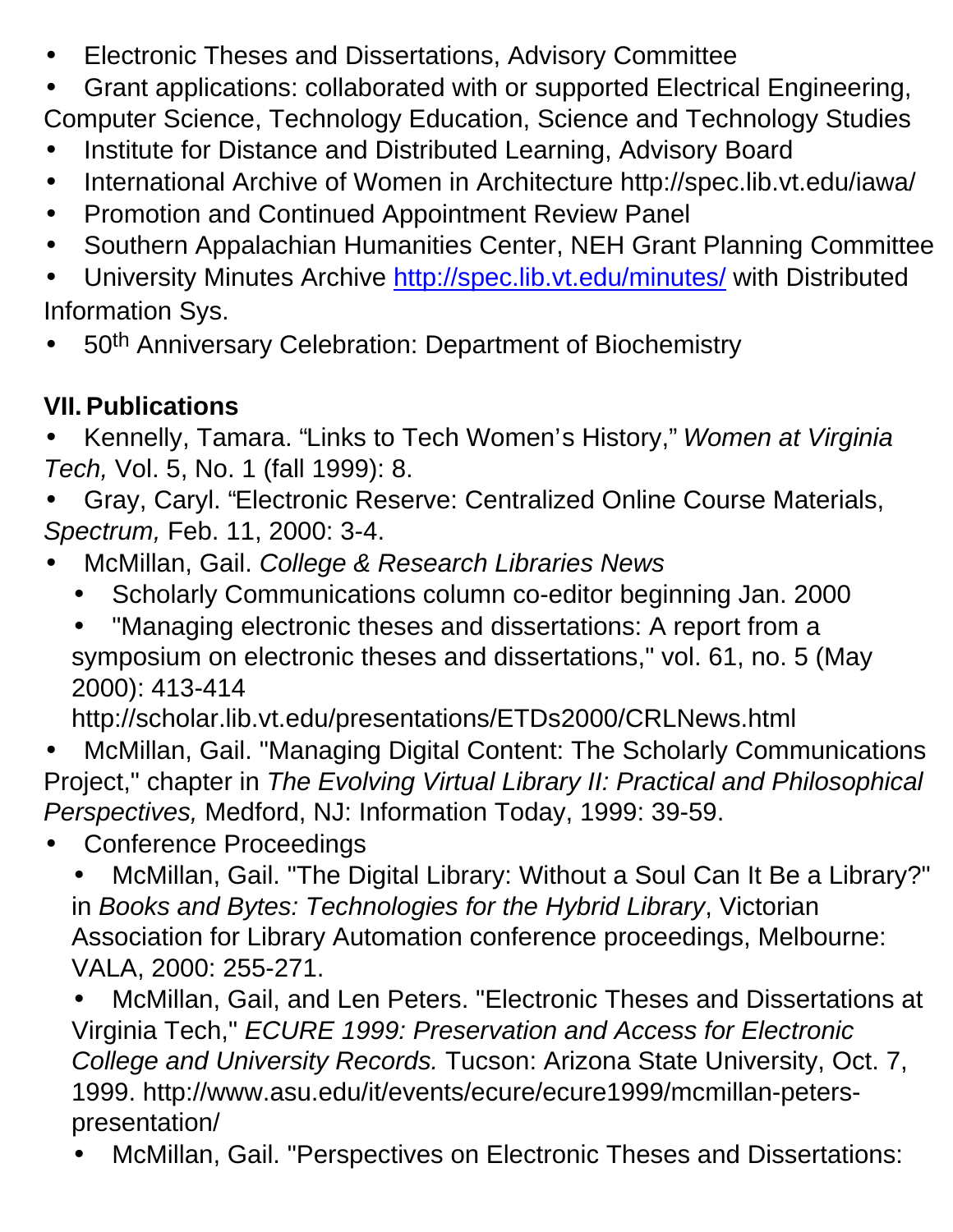- Electronic Theses and Dissertations, Advisory Committee
- Grant applications: collaborated with or supported Electrical Engineering,
- Computer Science, Technology Education, Science and Technology Studies
- Institute for Distance and Distributed Learning, Advisory Board
- International Archive of Women in Architecture <http://spec.lib.vt.edu/iawa/>
- Promotion and Continued Appointment Review Panel
- Southern Appalachian Humanities Center, NEH Grant Planning Committee
- University Minutes Archive <http://spec.lib.vt.edu/minutes/>with Distributed Information Sys.
- 50<sup>th</sup> Anniversary Celebration: Department of Biochemistry

## **VII.Publications**

- Kennelly, Tamara. "Links to Tech Women's History," *Women at Virginia Tech,* Vol. 5, No. 1 (fall 1999): 8.
- Gray, Caryl. "Electronic Reserve: Centralized Online Course Materials, *Spectrum,* Feb. 11, 2000: 3-4.
- McMillan, Gail. *College & Research Libraries News*
	- Scholarly Communications column co-editor beginning Jan. 2000
	- "Managing electronic theses and dissertations: A report from a symposium on electronic theses and dissertations," vol. 61, no. 5 (May 2000): 413-414

<http://scholar.lib.vt.edu/presentations/ETDs2000/CRLNews.html>

• McMillan, Gail. "Managing Digital Content: The Scholarly Communications Project," chapter in *The Evolving Virtual Library II: Practical and Philosophical Perspectives,* Medford, NJ: Information Today, 1999: 39-59.

• Conference Proceedings

• McMillan, Gail. "The Digital Library: Without a Soul Can It Be a Library?" in *Books and Bytes: Technologies for the Hybrid Library*, Victorian Association for Library Automation conference proceedings, Melbourne: VALA, 2000: 255-271.

• McMillan, Gail, and Len Peters. "Electronic Theses and Dissertations at Virginia Tech," *ECURE 1999: Preservation and Access for Electronic College and University Records.* Tucson: Arizona State University, Oct. 7, [1999. http://www.asu.edu/it/events/ecure/ecure1999/mcmillan-peters](http://www.asu.edu/it/events/ecure/ecure1999/mcmillan-peterspresentation/)presentation/

• McMillan, Gail. "Perspectives on Electronic Theses and Dissertations: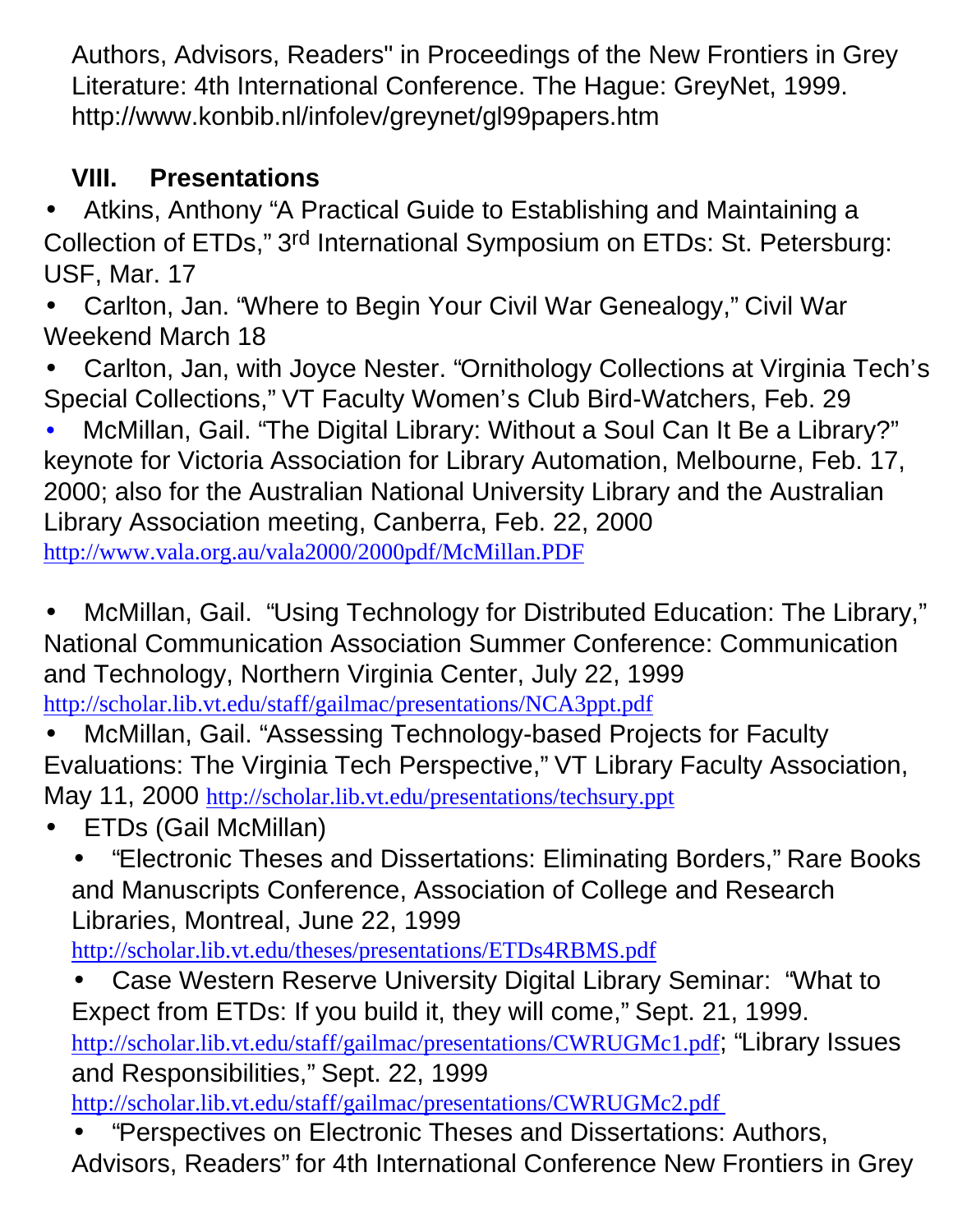Authors, Advisors, Readers" in Proceedings of the New Frontiers in Grey Literature: 4th International Conference. The Hague: GreyNet, 1999. <http://www.konbib.nl/infolev/greynet/gl99papers.htm>

## **VIII. Presentations**

• Atkins, Anthony "A Practical Guide to Establishing and Maintaining a Collection of ETDs," 3rd International Symposium on ETDs: St. Petersburg: USF, Mar. 17

• Carlton, Jan. "Where to Begin Your Civil War Genealogy," Civil War Weekend March 18

• Carlton, Jan, with Joyce Nester. "Ornithology Collections at Virginia Tech's Special Collections," VT Faculty Women's Club Bird-Watchers, Feb. 29

• McMillan, Gail. "The Digital Library: Without a Soul Can It Be a Library?" keynote for Victoria Association for Library Automation, Melbourne, Feb. 17, 2000; also for the Australian National University Library and the Australian Library Association meeting, Canberra, Feb. 22, 2000 <http://www.vala.org.au/vala2000/2000pdf/McMillan.PDF>

• McMillan, Gail. "Using Technology for Distributed Education: The Library," National Communication Association Summer Conference: Communication and Technology, Northern Virginia Center, July 22, 1999 <http://scholar.lib.vt.edu/staff/gailmac/presentations/NCA3ppt.pdf>

- McMillan, Gail. "Assessing Technology-based Projects for Faculty Evaluations: The Virginia Tech Perspective," VT Library Faculty Association, May 11, 2000 <http://scholar.lib.vt.edu/presentations/techsury.ppt>
- ETDs (Gail McMillan)
	- "Electronic Theses and Dissertations: Eliminating Borders," Rare Books and Manuscripts Conference, Association of College and Research Libraries, Montreal, June 22, 1999

<http://scholar.lib.vt.edu/theses/presentations/ETDs4RBMS.pdf>

• Case Western Reserve University Digital Library Seminar: "What to Expect from ETDs: If you build it, they will come," Sept. 21, 1999. <http://scholar.lib.vt.edu/staff/gailmac/presentations/CWRUGMc1.pdf>; "Library Issues and Responsibilities," Sept. 22, 1999 <http://scholar.lib.vt.edu/staff/gailmac/presentations/CWRUGMc2.pdf>

• "Perspectives on Electronic Theses and Dissertations: Authors, Advisors, Readers" for 4th International Conference New Frontiers in Grey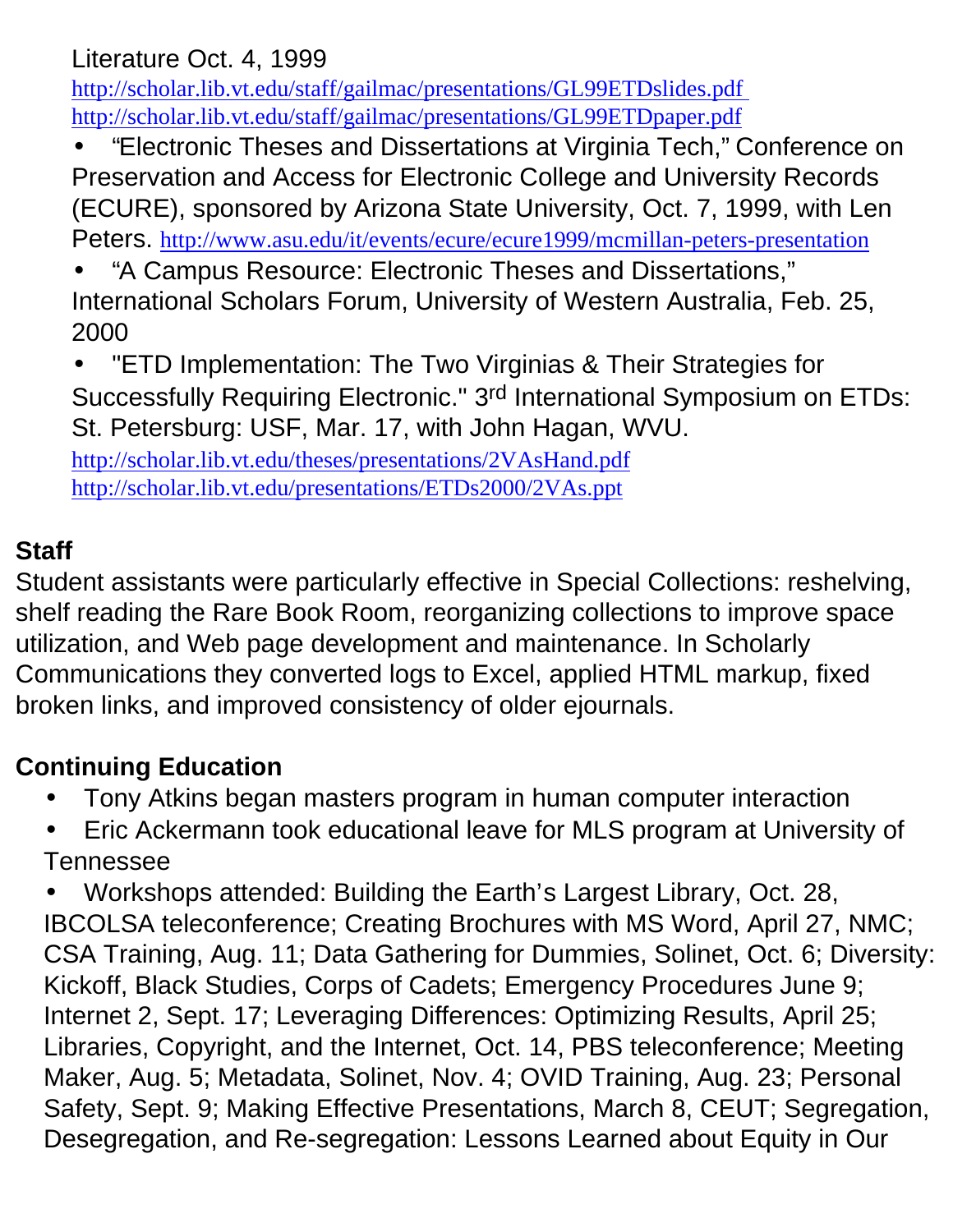### Literature Oct. 4, 1999

<http://scholar.lib.vt.edu/staff/gailmac/presentations/GL99ETDslides.pdf> <http://scholar.lib.vt.edu/staff/gailmac/presentations/GL99ETDpaper.pdf>

- "Electronic Theses and Dissertations at Virginia Tech," Conference on Preservation and Access for Electronic College and University Records (ECURE), sponsored by Arizona State University, Oct. 7, 1999, with Len Peters. <http://www.asu.edu/it/events/ecure/ecure1999/mcmillan-peters-presentation>
- "A Campus Resource: Electronic Theses and Dissertations," International Scholars Forum, University of Western Australia, Feb. 25, 2000
- "ETD Implementation: The Two Virginias & Their Strategies for Successfully Requiring Electronic." 3rd International Symposium on ETDs: St. Petersburg: USF, Mar. 17, with John Hagan, WVU.

<http://scholar.lib.vt.edu/theses/presentations/2VAsHand.pdf> <http://scholar.lib.vt.edu/presentations/ETDs2000/2VAs.ppt>

#### **Staff**

Student assistants were particularly effective in Special Collections: reshelving, shelf reading the Rare Book Room, reorganizing collections to improve space utilization, and Web page development and maintenance. In Scholarly Communications they converted logs to Excel, applied HTML markup, fixed broken links, and improved consistency of older ejournals.

## **Continuing Education**

- Tony Atkins began masters program in human computer interaction
- Eric Ackermann took educational leave for MLS program at University of Tennessee

• Workshops attended: Building the Earth's Largest Library, Oct. 28, IBCOLSA teleconference; Creating Brochures with MS Word, April 27, NMC; CSA Training, Aug. 11; Data Gathering for Dummies, Solinet, Oct. 6; Diversity: Kickoff, Black Studies, Corps of Cadets; Emergency Procedures June 9; Internet 2, Sept. 17; Leveraging Differences: Optimizing Results, April 25; Libraries, Copyright, and the Internet, Oct. 14, PBS teleconference; Meeting Maker, Aug. 5; Metadata, Solinet, Nov. 4; OVID Training, Aug. 23; Personal Safety, Sept. 9; Making Effective Presentations, March 8, CEUT; Segregation, Desegregation, and Re-segregation: Lessons Learned about Equity in Our